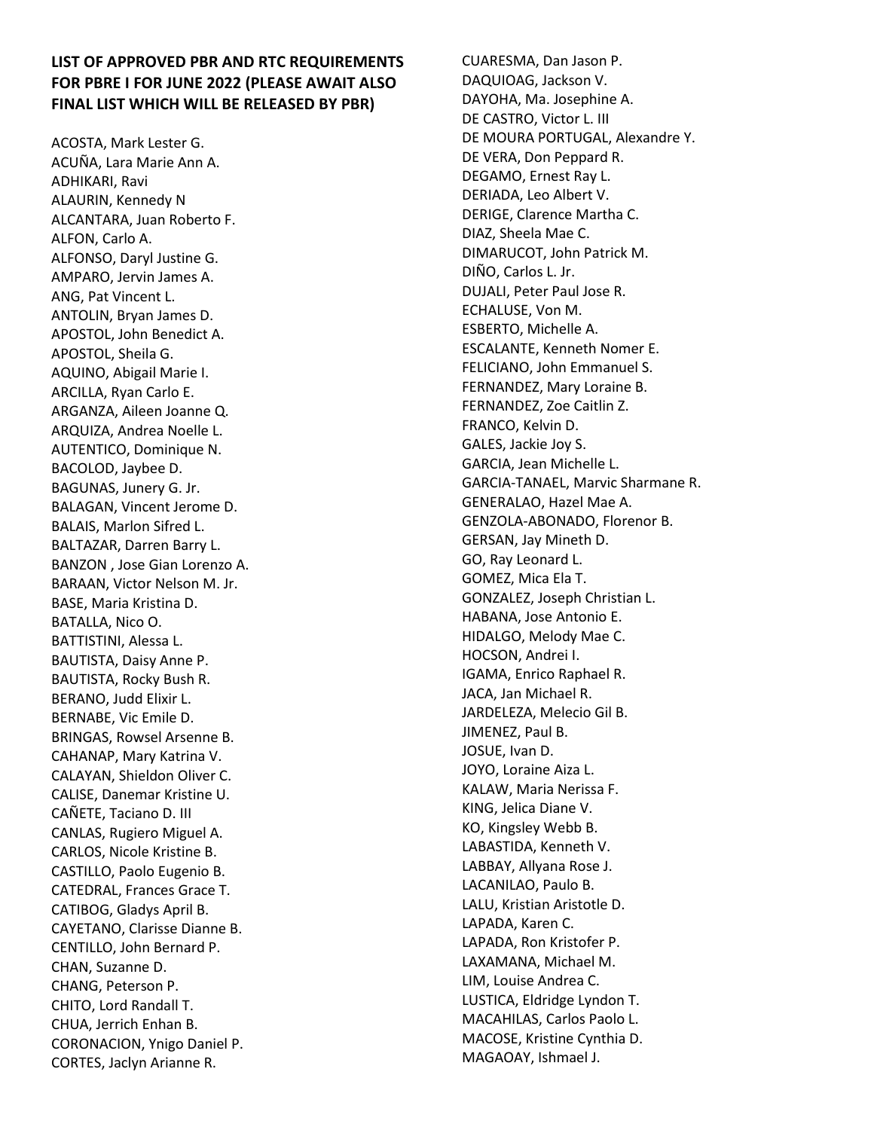## **LIST OF APPROVED PBR AND RTC REQUIREMENTS FOR PBRE I FOR JUNE 2022 (PLEASE AWAIT ALSO FINAL LIST WHICH WILL BE RELEASED BY PBR)**

ACOSTA, Mark Lester G. ACUÑA, Lara Marie Ann A. ADHIKARI, Ravi ALAURIN, Kennedy N ALCANTARA, Juan Roberto F. ALFON, Carlo A. ALFONSO, Daryl Justine G. AMPARO, Jervin James A. ANG, Pat Vincent L. ANTOLIN, Bryan James D. APOSTOL, John Benedict A. APOSTOL, Sheila G. AQUINO, Abigail Marie I. ARCILLA, Ryan Carlo E. ARGANZA, Aileen Joanne Q. ARQUIZA, Andrea Noelle L. AUTENTICO, Dominique N. BACOLOD, Jaybee D. BAGUNAS, Junery G. Jr. BALAGAN, Vincent Jerome D. BALAIS, Marlon Sifred L. BALTAZAR, Darren Barry L. BANZON , Jose Gian Lorenzo A. BARAAN, Victor Nelson M. Jr. BASE, Maria Kristina D. BATALLA, Nico O. BATTISTINI, Alessa L. BAUTISTA, Daisy Anne P. BAUTISTA, Rocky Bush R. BERANO, Judd Elixir L. BERNABE, Vic Emile D. BRINGAS, Rowsel Arsenne B. CAHANAP, Mary Katrina V. CALAYAN, Shieldon Oliver C. CALISE, Danemar Kristine U. CAÑETE, Taciano D. III CANLAS, Rugiero Miguel A. CARLOS, Nicole Kristine B. CASTILLO, Paolo Eugenio B. CATEDRAL, Frances Grace T. CATIBOG, Gladys April B. CAYETANO, Clarisse Dianne B. CENTILLO, John Bernard P. CHAN, Suzanne D. CHANG, Peterson P. CHITO, Lord Randall T. CHUA, Jerrich Enhan B. CORONACION, Ynigo Daniel P. CORTES, Jaclyn Arianne R.

CUARESMA, Dan Jason P. DAQUIOAG, Jackson V. DAYOHA, Ma. Josephine A. DE CASTRO, Victor L. III DE MOURA PORTUGAL, Alexandre Y. DE VERA, Don Peppard R. DEGAMO, Ernest Ray L. DERIADA, Leo Albert V. DERIGE, Clarence Martha C. DIAZ, Sheela Mae C. DIMARUCOT, John Patrick M. DIÑO, Carlos L. Jr. DUJALI, Peter Paul Jose R. ECHALUSE, Von M. ESBERTO, Michelle A. ESCALANTE, Kenneth Nomer E. FELICIANO, John Emmanuel S. FERNANDEZ, Mary Loraine B. FERNANDEZ, Zoe Caitlin Z. FRANCO, Kelvin D. GALES, Jackie Joy S. GARCIA, Jean Michelle L. GARCIA-TANAEL, Marvic Sharmane R. GENERALAO, Hazel Mae A. GENZOLA-ABONADO, Florenor B. GERSAN, Jay Mineth D. GO, Ray Leonard L. GOMEZ, Mica Ela T. GONZALEZ, Joseph Christian L. HABANA, Jose Antonio E. HIDALGO, Melody Mae C. HOCSON, Andrei I. IGAMA, Enrico Raphael R. JACA, Jan Michael R. JARDELEZA, Melecio Gil B. JIMENEZ, Paul B. JOSUE, Ivan D. JOYO, Loraine Aiza L. KALAW, Maria Nerissa F. KING, Jelica Diane V. KO, Kingsley Webb B. LABASTIDA, Kenneth V. LABBAY, Allyana Rose J. LACANILAO, Paulo B. LALU, Kristian Aristotle D. LAPADA, Karen C. LAPADA, Ron Kristofer P. LAXAMANA, Michael M. LIM, Louise Andrea C. LUSTICA, Eldridge Lyndon T. MACAHILAS, Carlos Paolo L. MACOSE, Kristine Cynthia D. MAGAOAY, Ishmael J.